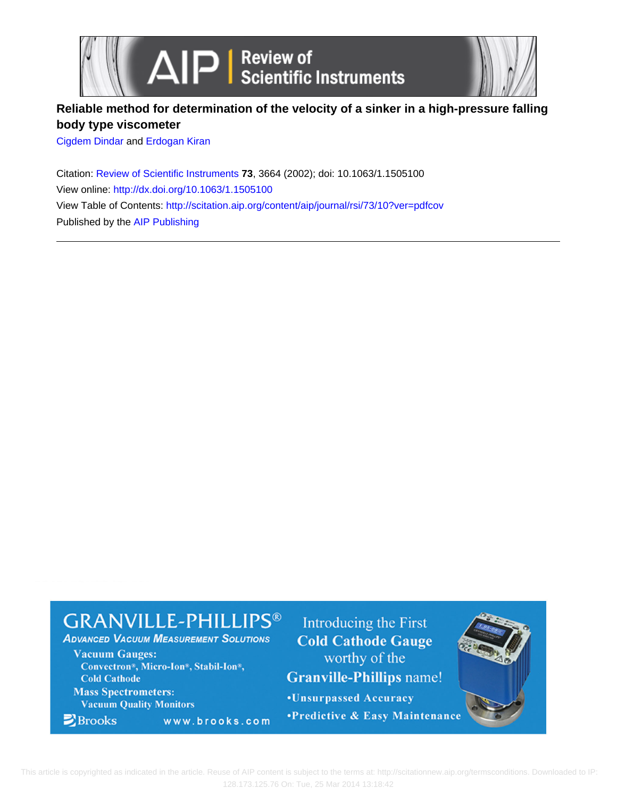



## **Reliable method for determination of the velocity of a sinker in a high-pressure falling body type viscometer**

[Cigdem Dindar](http://scitation.aip.org/search?value1=Cigdem+Dindar&option1=author) and [Erdogan Kiran](http://scitation.aip.org/search?value1=Erdogan+Kiran&option1=author)

Citation: [Review of Scientific Instruments](http://scitation.aip.org/content/aip/journal/rsi?ver=pdfcov) **73**, 3664 (2002); doi: 10.1063/1.1505100 View online: <http://dx.doi.org/10.1063/1.1505100> View Table of Contents: <http://scitation.aip.org/content/aip/journal/rsi/73/10?ver=pdfcov> Published by the [AIP Publishing](http://scitation.aip.org/content/aip?ver=pdfcov)

# **GRANVILLE-PHILLIPS®**

www.brooks.com

**ADVANCED VACUUM MEASUREMENT SOLUTIONS** 

**Vacuum Gauges:** Convectron®, Micro-Ion®, Stabil-Ion®, **Cold Cathode** 

**Mass Spectrometers: Vacuum Quality Monitors** 

 $\blacktriangleright$  Brooks

Introducing the First **Cold Cathode Gauge** worthy of the **Granville-Phillips name!** 

**.Unsurpassed Accuracy** •Predictive & Easy Maintenance

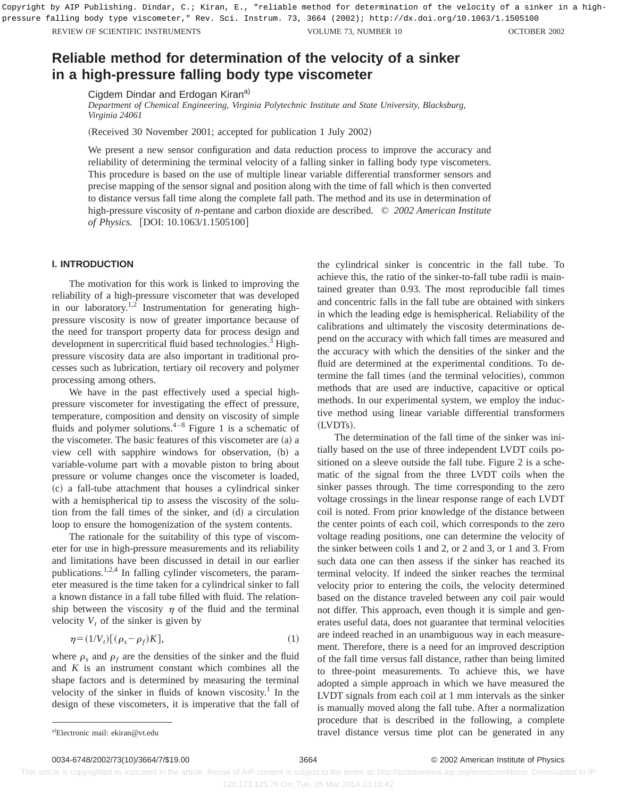REVIEW OF SCIENTIFIC INSTRUMENTS **SUITE ASSESSED ASSESSED ASSESSED AT A CONSTRUMENTS** VOLUME 73, NUMBER 10 **OCTOBER 2002** Copyright by AIP Publishing. Dindar, C.; Kiran, E., "reliable method for determination of the velocity of a sinker in a highpressure falling body type viscometer," Rev. Sci. Instrum. 73, 3664 (2002); http://dx.doi.org/10.1063/1.1505100

### **Reliable method for determination of the velocity of a sinker in a high-pressure falling body type viscometer**

Cigdem Dindar and Erdogan Kiran<sup>a)</sup>

*Department of Chemical Engineering, Virginia Polytechnic Institute and State University, Blacksburg, Virginia 24061*

(Received 30 November 2001; accepted for publication 1 July 2002)

We present a new sensor configuration and data reduction process to improve the accuracy and reliability of determining the terminal velocity of a falling sinker in falling body type viscometers. This procedure is based on the use of multiple linear variable differential transformer sensors and precise mapping of the sensor signal and position along with the time of fall which is then converted to distance versus fall time along the complete fall path. The method and its use in determination of high-pressure viscosity of *n*-pentane and carbon dioxide are described. © *2002 American Institute of Physics.* [DOI: 10.1063/1.1505100]

#### **I. INTRODUCTION**

The motivation for this work is linked to improving the reliability of a high-pressure viscometer that was developed in our laboratory.<sup>1,2</sup> Instrumentation for generating highpressure viscosity is now of greater importance because of the need for transport property data for process design and development in supercritical fluid based technologies.<sup>3</sup> Highpressure viscosity data are also important in traditional processes such as lubrication, tertiary oil recovery and polymer processing among others.

We have in the past effectively used a special highpressure viscometer for investigating the effect of pressure, temperature, composition and density on viscosity of simple fluids and polymer solutions. $4-8$  Figure 1 is a schematic of the viscometer. The basic features of this viscometer are  $(a)$  a view cell with sapphire windows for observation, (b) a variable-volume part with a movable piston to bring about pressure or volume changes once the viscometer is loaded, ~c! a fall-tube attachment that houses a cylindrical sinker with a hemispherical tip to assess the viscosity of the solution from the fall times of the sinker, and (d) a circulation loop to ensure the homogenization of the system contents.

The rationale for the suitability of this type of viscometer for use in high-pressure measurements and its reliability and limitations have been discussed in detail in our earlier publications.1,2,4 In falling cylinder viscometers, the parameter measured is the time taken for a cylindrical sinker to fall a known distance in a fall tube filled with fluid. The relationship between the viscosity  $\eta$  of the fluid and the terminal velocity  $V_t$  of the sinker is given by

$$
\eta = (1/V_t)[(\rho_s - \rho_f)K],\tag{1}
$$

where  $\rho_s$  and  $\rho_f$  are the densities of the sinker and the fluid and *K* is an instrument constant which combines all the shape factors and is determined by measuring the terminal velocity of the sinker in fluids of known viscosity.<sup>1</sup> In the design of these viscometers, it is imperative that the fall of the cylindrical sinker is concentric in the fall tube. To achieve this, the ratio of the sinker-to-fall tube radii is maintained greater than 0.93. The most reproducible fall times and concentric falls in the fall tube are obtained with sinkers in which the leading edge is hemispherical. Reliability of the calibrations and ultimately the viscosity determinations depend on the accuracy with which fall times are measured and the accuracy with which the densities of the sinker and the fluid are determined at the experimental conditions. To determine the fall times (and the terminal velocities), common methods that are used are inductive, capacitive or optical methods. In our experimental system, we employ the inductive method using linear variable differential transformers (LVDTs).

The determination of the fall time of the sinker was initially based on the use of three independent LVDT coils positioned on a sleeve outside the fall tube. Figure 2 is a schematic of the signal from the three LVDT coils when the sinker passes through. The time corresponding to the zero voltage crossings in the linear response range of each LVDT coil is noted. From prior knowledge of the distance between the center points of each coil, which corresponds to the zero voltage reading positions, one can determine the velocity of the sinker between coils 1 and 2, or 2 and 3, or 1 and 3. From such data one can then assess if the sinker has reached its terminal velocity. If indeed the sinker reaches the terminal velocity prior to entering the coils, the velocity determined based on the distance traveled between any coil pair would not differ. This approach, even though it is simple and generates useful data, does not guarantee that terminal velocities are indeed reached in an unambiguous way in each measurement. Therefore, there is a need for an improved description of the fall time versus fall distance, rather than being limited to three-point measurements. To achieve this, we have adopted a simple approach in which we have measured the LVDT signals from each coil at 1 mm intervals as the sinker is manually moved along the fall tube. After a normalization procedure that is described in the following, a complete travel distance versus time plot can be generated in any

0034-6748/2002/73(10)/3664/7/\$19.00 60034-6748/2002/73(10)/3664/7/\$19.00

 This article is copyrighted as indicated in the article. Reuse of AIP content is subject to the terms at: http://scitationnew.aip.org/termsconditions. Downloaded to IP: 128.173.125.76 On: Tue, 25 Mar 2014 13:18:42

Electronic mail: ekiran@vt.edu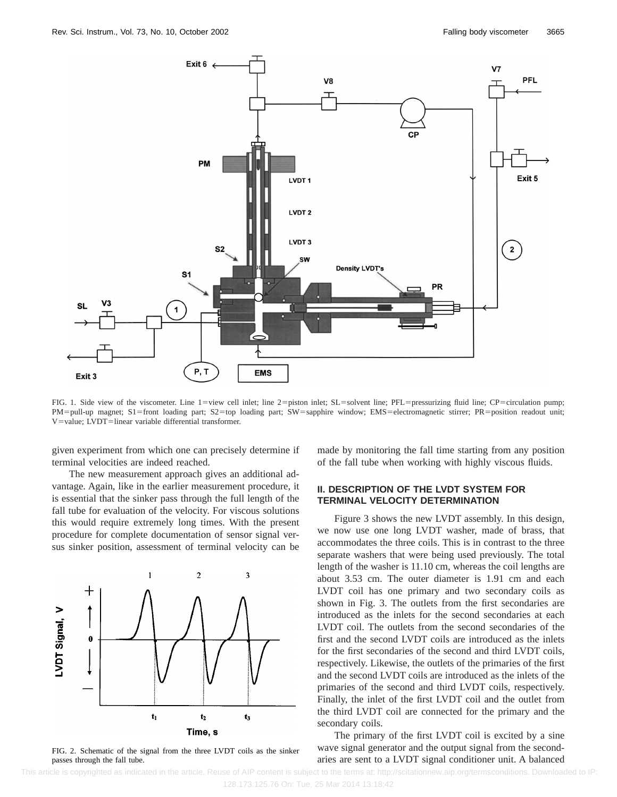

FIG. 1. Side view of the viscometer. Line 1=view cell inlet; line 2=piston inlet; SL=solvent line; PFL=pressurizing fluid line; CP=circulation pump; PM=pull-up magnet; S1=front loading part; S2=top loading part; SW=sapphire window; EMS=electromagnetic stirrer; PR=position readout unit; V=value; LVDT=linear variable differential transformer.

given experiment from which one can precisely determine if terminal velocities are indeed reached.

The new measurement approach gives an additional advantage. Again, like in the earlier measurement procedure, it is essential that the sinker pass through the full length of the fall tube for evaluation of the velocity. For viscous solutions this would require extremely long times. With the present procedure for complete documentation of sensor signal versus sinker position, assessment of terminal velocity can be



FIG. 2. Schematic of the signal from the three LVDT coils as the sinker passes through the fall tube.

made by monitoring the fall time starting from any position of the fall tube when working with highly viscous fluids.

#### **II. DESCRIPTION OF THE LVDT SYSTEM FOR TERMINAL VELOCITY DETERMINATION**

Figure 3 shows the new LVDT assembly. In this design, we now use one long LVDT washer, made of brass, that accommodates the three coils. This is in contrast to the three separate washers that were being used previously. The total length of the washer is 11.10 cm, whereas the coil lengths are about 3.53 cm. The outer diameter is 1.91 cm and each LVDT coil has one primary and two secondary coils as shown in Fig. 3. The outlets from the first secondaries are introduced as the inlets for the second secondaries at each LVDT coil. The outlets from the second secondaries of the first and the second LVDT coils are introduced as the inlets for the first secondaries of the second and third LVDT coils, respectively. Likewise, the outlets of the primaries of the first and the second LVDT coils are introduced as the inlets of the primaries of the second and third LVDT coils, respectively. Finally, the inlet of the first LVDT coil and the outlet from the third LVDT coil are connected for the primary and the secondary coils.

The primary of the first LVDT coil is excited by a sine wave signal generator and the output signal from the secondaries are sent to a LVDT signal conditioner unit. A balanced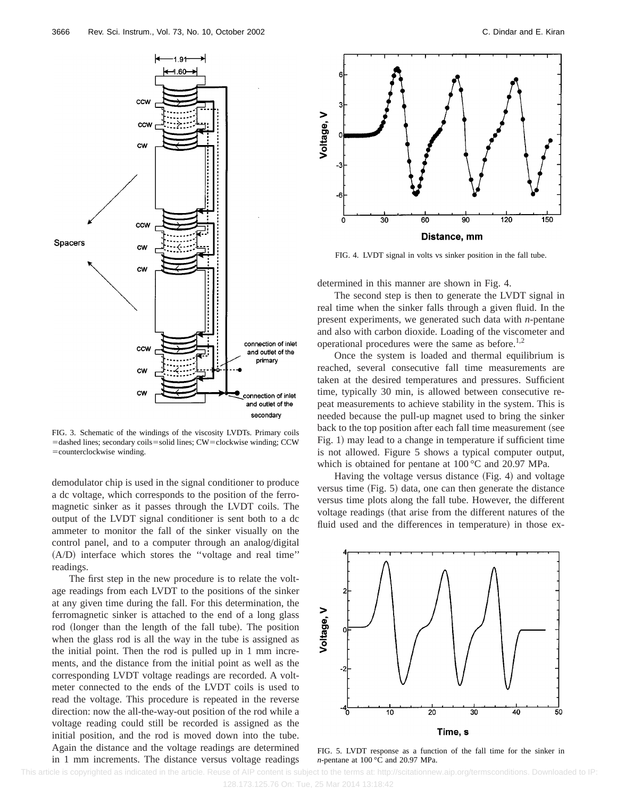

FIG. 3. Schematic of the windings of the viscosity LVDTs. Primary coils =dashed lines; secondary coils=solid lines; CW=clockwise winding; CCW =counterclockwise winding.

demodulator chip is used in the signal conditioner to produce a dc voltage, which corresponds to the position of the ferromagnetic sinker as it passes through the LVDT coils. The output of the LVDT signal conditioner is sent both to a dc ammeter to monitor the fall of the sinker visually on the control panel, and to a computer through an analog/digital  $(A/D)$  interface which stores the "voltage and real time" readings.

The first step in the new procedure is to relate the voltage readings from each LVDT to the positions of the sinker at any given time during the fall. For this determination, the ferromagnetic sinker is attached to the end of a long glass rod (longer than the length of the fall tube). The position when the glass rod is all the way in the tube is assigned as the initial point. Then the rod is pulled up in 1 mm increments, and the distance from the initial point as well as the corresponding LVDT voltage readings are recorded. A voltmeter connected to the ends of the LVDT coils is used to read the voltage. This procedure is repeated in the reverse direction: now the all-the-way-out position of the rod while a voltage reading could still be recorded is assigned as the initial position, and the rod is moved down into the tube. Again the distance and the voltage readings are determined in 1 mm increments. The distance versus voltage readings



FIG. 4. LVDT signal in volts vs sinker position in the fall tube.

determined in this manner are shown in Fig. 4.

The second step is then to generate the LVDT signal in real time when the sinker falls through a given fluid. In the present experiments, we generated such data with *n*-pentane and also with carbon dioxide. Loading of the viscometer and operational procedures were the same as before. $1,2$ 

Once the system is loaded and thermal equilibrium is reached, several consecutive fall time measurements are taken at the desired temperatures and pressures. Sufficient time, typically 30 min, is allowed between consecutive repeat measurements to achieve stability in the system. This is needed because the pull-up magnet used to bring the sinker back to the top position after each fall time measurement (see Fig. 1) may lead to a change in temperature if sufficient time is not allowed. Figure 5 shows a typical computer output, which is obtained for pentane at 100 °C and 20.97 MPa.

Having the voltage versus distance  $(Fig. 4)$  and voltage versus time  $(Fig. 5)$  data, one can then generate the distance versus time plots along the fall tube. However, the different voltage readings (that arise from the different natures of the fluid used and the differences in temperature) in those ex-



FIG. 5. LVDT response as a function of the fall time for the sinker in *n*-pentane at 100 °C and 20.97 MPa.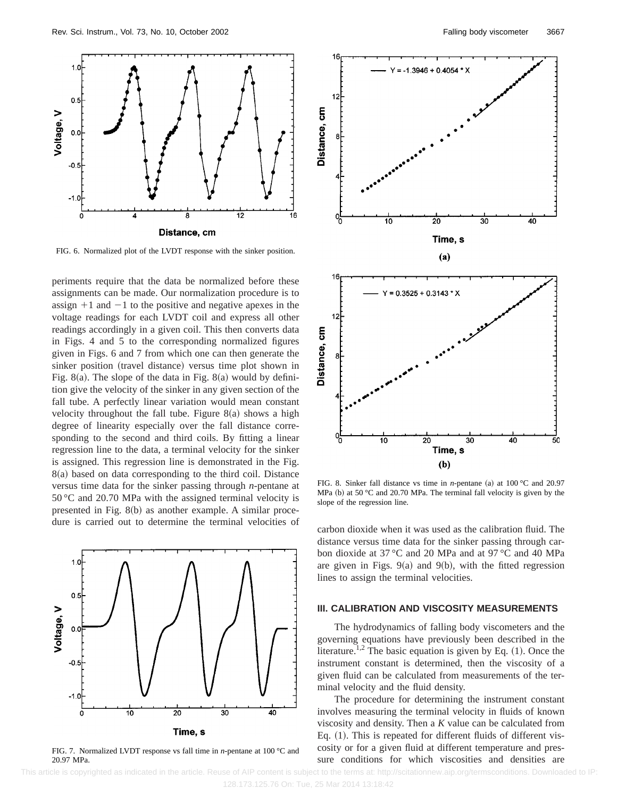

FIG. 6. Normalized plot of the LVDT response with the sinker position.

periments require that the data be normalized before these assignments can be made. Our normalization procedure is to assign  $+1$  and  $-1$  to the positive and negative apexes in the voltage readings for each LVDT coil and express all other readings accordingly in a given coil. This then converts data in Figs. 4 and 5 to the corresponding normalized figures given in Figs. 6 and 7 from which one can then generate the sinker position (travel distance) versus time plot shown in Fig. 8(a). The slope of the data in Fig. 8(a) would by definition give the velocity of the sinker in any given section of the fall tube. A perfectly linear variation would mean constant velocity throughout the fall tube. Figure  $8(a)$  shows a high degree of linearity especially over the fall distance corresponding to the second and third coils. By fitting a linear regression line to the data, a terminal velocity for the sinker is assigned. This regression line is demonstrated in the Fig.  $8(a)$  based on data corresponding to the third coil. Distance versus time data for the sinker passing through *n*-pentane at 50 °C and 20.70 MPa with the assigned terminal velocity is presented in Fig.  $8(b)$  as another example. A similar procedure is carried out to determine the terminal velocities of



FIG. 7. Normalized LVDT response vs fall time in *n*-pentane at 100 °C and 20.97 MPa.



FIG. 8. Sinker fall distance vs time in *n*-pentane (a) at 100 °C and 20.97 MPa (b) at 50 °C and 20.70 MPa. The terminal fall velocity is given by the slope of the regression line.

carbon dioxide when it was used as the calibration fluid. The distance versus time data for the sinker passing through carbon dioxide at 37 °C and 20 MPa and at 97 °C and 40 MPa are given in Figs.  $9(a)$  and  $9(b)$ , with the fitted regression lines to assign the terminal velocities.

#### **III. CALIBRATION AND VISCOSITY MEASUREMENTS**

The hydrodynamics of falling body viscometers and the governing equations have previously been described in the literature.<sup>1,2</sup> The basic equation is given by Eq.  $(1)$ . Once the instrument constant is determined, then the viscosity of a given fluid can be calculated from measurements of the terminal velocity and the fluid density.

The procedure for determining the instrument constant involves measuring the terminal velocity in fluids of known viscosity and density. Then a *K* value can be calculated from Eq.  $(1)$ . This is repeated for different fluids of different viscosity or for a given fluid at different temperature and pressure conditions for which viscosities and densities are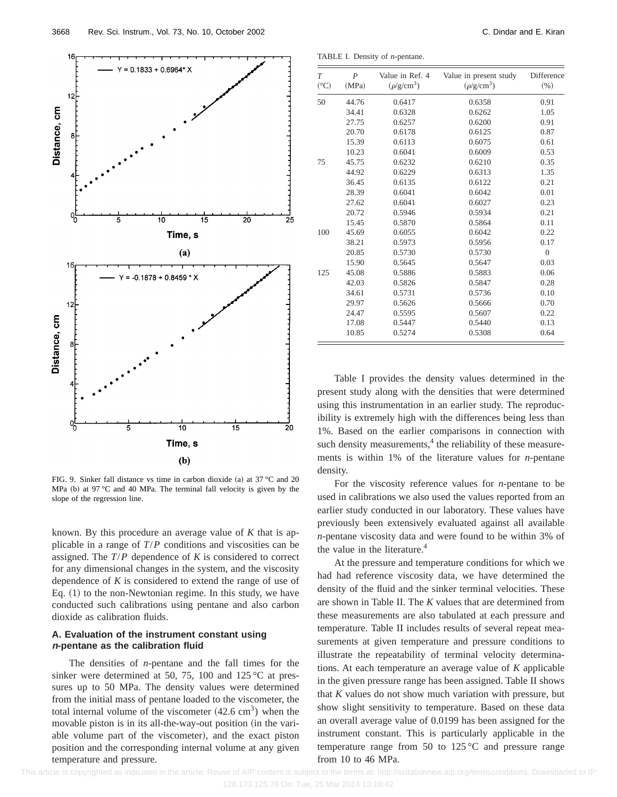

FIG. 9. Sinker fall distance vs time in carbon dioxide (a) at  $37 \text{ °C}$  and  $20$ MPa (b) at 97 °C and 40 MPa. The terminal fall velocity is given by the slope of the regression line.

known. By this procedure an average value of *K* that is applicable in a range of *T*/*P* conditions and viscosities can be assigned. The *T*/*P* dependence of *K* is considered to correct for any dimensional changes in the system, and the viscosity dependence of *K* is considered to extend the range of use of Eq.  $(1)$  to the non-Newtonian regime. In this study, we have conducted such calibrations using pentane and also carbon dioxide as calibration fluids.

#### **A. Evaluation of the instrument constant using <sup>n</sup>-pentane as the calibration fluid**

The densities of *n*-pentane and the fall times for the sinker were determined at 50, 75, 100 and 125 °C at pressures up to 50 MPa. The density values were determined from the initial mass of pentane loaded to the viscometer, the total internal volume of the viscometer  $(42.6 \text{ cm}^3)$  when the movable piston is in its all-the-way-out position (in the variable volume part of the viscometer), and the exact piston position and the corresponding internal volume at any given temperature and pressure.

TABLE I. Density of *n*-pentane.

| T<br>(°C) | $\overline{P}$<br>(MPa) | Value in Ref. 4<br>$(\rho/g/cm^3)$ | Value in present study<br>$(\rho/g/cm^3)$ | Difference<br>$(\% )$ |
|-----------|-------------------------|------------------------------------|-------------------------------------------|-----------------------|
| 50        | 44.76                   | 0.6417                             | 0.6358                                    | 0.91                  |
|           | 34.41                   | 0.6328                             | 0.6262                                    | 1.05                  |
|           | 27.75                   | 0.6257                             | 0.6200                                    | 0.91                  |
|           | 20.70                   | 0.6178                             | 0.6125                                    | 0.87                  |
|           | 15.39                   | 0.6113                             | 0.6075                                    | 0.61                  |
|           | 10.23                   | 0.6041                             | 0.6009                                    | 0.53                  |
| 75        | 45.75                   | 0.6232                             | 0.6210                                    | 0.35                  |
|           | 44.92                   | 0.6229                             | 0.6313                                    | 1.35                  |
|           | 36.45                   | 0.6135                             | 0.6122                                    | 0.21                  |
|           | 28.39                   | 0.6041                             | 0.6042                                    | 0.01                  |
|           | 27.62                   | 0.6041                             | 0.6027                                    | 0.23                  |
|           | 20.72                   | 0.5946                             | 0.5934                                    | 0.21                  |
|           | 15.45                   | 0.5870                             | 0.5864                                    | 0.11                  |
| 100       | 45.69                   | 0.6055                             | 0.6042                                    | 0.22                  |
|           | 38.21                   | 0.5973                             | 0.5956                                    | 0.17                  |
|           | 20.85                   | 0.5730                             | 0.5730                                    | $\overline{0}$        |
|           | 15.90                   | 0.5645                             | 0.5647                                    | 0.03                  |
| 125       | 45.08                   | 0.5886                             | 0.5883                                    | 0.06                  |
|           | 42.03                   | 0.5826                             | 0.5847                                    | 0.28                  |
|           | 34.61                   | 0.5731                             | 0.5736                                    | 0.10                  |
|           | 29.97                   | 0.5626                             | 0.5666                                    | 0.70                  |
|           | 24.47                   | 0.5595                             | 0.5607                                    | 0.22                  |
|           | 17.08                   | 0.5447                             | 0.5440                                    | 0.13                  |
|           | 10.85                   | 0.5274                             | 0.5308                                    | 0.64                  |

Table I provides the density values determined in the present study along with the densities that were determined using this instrumentation in an earlier study. The reproducibility is extremely high with the differences being less than 1%. Based on the earlier comparisons in connection with such density measurements, $4$  the reliability of these measurements is within 1% of the literature values for *n*-pentane density.

For the viscosity reference values for *n*-pentane to be used in calibrations we also used the values reported from an earlier study conducted in our laboratory. These values have previously been extensively evaluated against all available *n*-pentane viscosity data and were found to be within 3% of the value in the literature. $4$ 

At the pressure and temperature conditions for which we had had reference viscosity data, we have determined the density of the fluid and the sinker terminal velocities. These are shown in Table II. The *K* values that are determined from these measurements are also tabulated at each pressure and temperature. Table II includes results of several repeat measurements at given temperature and pressure conditions to illustrate the repeatability of terminal velocity determinations. At each temperature an average value of *K* applicable in the given pressure range has been assigned. Table II shows that *K* values do not show much variation with pressure, but show slight sensitivity to temperature. Based on these data an overall average value of 0.0199 has been assigned for the instrument constant. This is particularly applicable in the temperature range from 50 to  $125^{\circ}$ C and pressure range from 10 to 46 MPa.

This article is copyrighted as indicated in the article. Reuse of AIP content is subject to the terms at: http://scitationnew.aip.org/termsconditions. Downloaded to IP: 128.173.125.76 On: Tue, 25 Mar 2014 13:18:42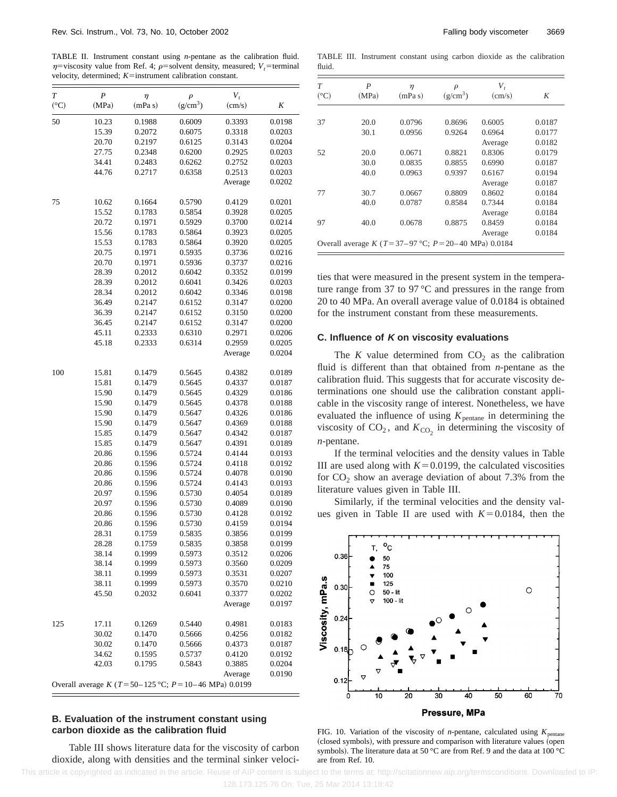TABLE II. Instrument constant using *n*-pentane as the calibration fluid.  $\eta$ =viscosity value from Ref. 4;  $\rho$ =solvent density, measured; *V<sub>t</sub>*=terminal velocity, determined;  $K$ =instrument calibration constant.

| T    | $\boldsymbol{P}$ | $\eta$  | $\rho$                                                  | $V_t$   |        |
|------|------------------|---------|---------------------------------------------------------|---------|--------|
| (°C) | (MPa)            | (mPa s) | $(g/cm^3)$                                              | (cm/s)  | K      |
| 50   | 10.23            | 0.1988  | 0.6009                                                  | 0.3393  | 0.0198 |
|      | 15.39            | 0.2072  | 0.6075                                                  | 0.3318  | 0.0203 |
|      | 20.70            | 0.2197  | 0.6125                                                  | 0.3143  | 0.0204 |
|      | 27.75            | 0.2348  | 0.6200                                                  | 0.2925  | 0.0203 |
|      | 34.41            | 0.2483  | 0.6262                                                  | 0.2752  | 0.0203 |
|      | 44.76            | 0.2717  | 0.6358                                                  | 0.2513  | 0.0203 |
|      |                  |         |                                                         | Average | 0.0202 |
| 75   | 10.62            | 0.1664  | 0.5790                                                  | 0.4129  | 0.0201 |
|      | 15.52            | 0.1783  | 0.5854                                                  | 0.3928  | 0.0205 |
|      | 20.72            | 0.1971  | 0.5929                                                  | 0.3700  | 0.0214 |
|      | 15.56            | 0.1783  | 0.5864                                                  | 0.3923  | 0.0205 |
|      | 15.53            | 0.1783  | 0.5864                                                  | 0.3920  | 0.0205 |
|      | 20.75            | 0.1971  | 0.5935                                                  | 0.3736  | 0.0216 |
|      | 20.70            | 0.1971  | 0.5936                                                  | 0.3737  | 0.0216 |
|      | 28.39            | 0.2012  | 0.6042                                                  | 0.3352  | 0.0199 |
|      | 28.39            | 0.2012  | 0.6041                                                  | 0.3426  | 0.0203 |
|      | 28.34            | 0.2012  | 0.6042                                                  | 0.3346  | 0.0198 |
|      | 36.49            | 0.2147  | 0.6152                                                  | 0.3147  | 0.0200 |
|      | 36.39            | 0.2147  | 0.6152                                                  | 0.3150  | 0.0200 |
|      | 36.45            | 0.2147  | 0.6152                                                  | 0.3147  | 0.0200 |
|      | 45.11            | 0.2333  | 0.6310                                                  | 0.2971  | 0.0206 |
|      | 45.18            | 0.2333  | 0.6314                                                  | 0.2959  | 0.0205 |
|      |                  |         |                                                         | Average | 0.0204 |
|      |                  |         |                                                         |         |        |
| 100  | 15.81            | 0.1479  | 0.5645                                                  | 0.4382  | 0.0189 |
|      | 15.81            | 0.1479  | 0.5645                                                  | 0.4337  | 0.0187 |
|      | 15.90            | 0.1479  | 0.5645                                                  | 0.4329  | 0.0186 |
|      | 15.90            | 0.1479  | 0.5645                                                  | 0.4378  | 0.0188 |
|      | 15.90            | 0.1479  | 0.5647                                                  | 0.4326  | 0.0186 |
|      | 15.90            | 0.1479  | 0.5647                                                  | 0.4369  | 0.0188 |
|      | 15.85            | 0.1479  | 0.5647                                                  | 0.4342  | 0.0187 |
|      | 15.85            | 0.1479  | 0.5647                                                  | 0.4391  | 0.0189 |
|      | 20.86            | 0.1596  | 0.5724                                                  | 0.4144  | 0.0193 |
|      | 20.86            | 0.1596  | 0.5724                                                  | 0.4118  | 0.0192 |
|      | 20.86            | 0.1596  | 0.5724                                                  | 0.4078  | 0.0190 |
|      | 20.86            | 0.1596  | 0.5724                                                  | 0.4143  | 0.0193 |
|      | 20.97            | 0.1596  | 0.5730                                                  | 0.4054  | 0.0189 |
|      | 20.97            | 0.1596  | 0.5730                                                  | 0.4089  | 0.0190 |
|      | 20.86            | 0.1596  | 0.5730                                                  | 0.4128  | 0.0192 |
|      | 20.86            | 0.1596  | 0.5730                                                  | 0.4159  | 0.0194 |
|      | 28.31            | 0.1759  | 0.5835                                                  | 0.3856  | 0.0199 |
|      | 28.28            | 0.1759  | 0.5835                                                  | 0.3858  | 0.0199 |
|      | 38.14            | 0.1999  | 0.5973                                                  | 0.3512  | 0.0206 |
|      | 38.14            | 0.1999  | 0.5973                                                  | 0.3560  | 0.0209 |
|      | 38.11            | 0.1999  | 0.5973                                                  | 0.3531  | 0.0207 |
|      | 38.11            | 0.1999  | 0.5973                                                  | 0.3570  | 0.0210 |
|      | 45.50            | 0.2032  | 0.6041                                                  | 0.3377  | 0.0202 |
|      |                  |         |                                                         | Average | 0.0197 |
| 125  | 17.11            | 0.1269  | 0.5440                                                  | 0.4981  | 0.0183 |
|      | 30.02            | 0.1470  | 0.5666                                                  | 0.4256  | 0.0182 |
|      | 30.02            | 0.1470  | 0.5666                                                  | 0.4373  | 0.0187 |
|      | 34.62            | 0.1595  | 0.5737                                                  | 0.4120  | 0.0192 |
|      | 42.03            | 0.1795  | 0.5843                                                  | 0.3885  | 0.0204 |
|      |                  |         |                                                         | Average | 0.0190 |
|      |                  |         | Overall average K (T=50-125 °C; $P = 10-46$ MPa) 0.0199 |         |        |

#### **B. Evaluation of the instrument constant using carbon dioxide as the calibration fluid**

Table III shows literature data for the viscosity of carbon dioxide, along with densities and the terminal sinker veloci-

TABLE III. Instrument constant using carbon dioxide as the calibration fluid.

| T<br>$({}^{\circ}C)$ | P<br>(MPa) | $\eta$<br>(mPa s)                                           | $\rho$<br>$(g/cm^3)$ | V,<br>(cm/s) | K      |
|----------------------|------------|-------------------------------------------------------------|----------------------|--------------|--------|
|                      |            |                                                             |                      |              |        |
| 37                   | 20.0       | 0.0796                                                      | 0.8696               | 0.6005       | 0.0187 |
|                      | 30.1       | 0.0956                                                      | 0.9264               | 0.6964       | 0.0177 |
|                      |            |                                                             |                      | Average      | 0.0182 |
| 52                   | 20.0       | 0.0671                                                      | 0.8821               | 0.8306       | 0.0179 |
|                      | 30.0       | 0.0835                                                      | 0.8855               | 0.6990       | 0.0187 |
|                      | 40.0       | 0.0963                                                      | 0.9397               | 0.6167       | 0.0194 |
|                      |            |                                                             |                      | Average      | 0.0187 |
| 77                   | 30.7       | 0.0667                                                      | 0.8809               | 0.8602       | 0.0184 |
|                      | 40.0       | 0.0787                                                      | 0.8584               | 0.7344       | 0.0184 |
|                      |            |                                                             |                      | Average      | 0.0184 |
| 97                   | 40.0       | 0.0678                                                      | 0.8875               | 0.8459       | 0.0184 |
|                      |            |                                                             |                      | Average      | 0.0184 |
|                      |            | Overall average K ( $T = 37-97$ °C; $P = 20-40$ MPa) 0.0184 |                      |              |        |

ties that were measured in the present system in the temperature range from 37 to 97 °C and pressures in the range from 20 to 40 MPa. An overall average value of 0.0184 is obtained for the instrument constant from these measurements.

#### **C. Influence of K on viscosity evaluations**

The *K* value determined from  $CO<sub>2</sub>$  as the calibration fluid is different than that obtained from *n*-pentane as the calibration fluid. This suggests that for accurate viscosity determinations one should use the calibration constant applicable in the viscosity range of interest. Nonetheless, we have evaluated the influence of using  $K_{\text{pentane}}$  in determining the viscosity of  $CO_2$ , and  $K_{CO_2}$  in determining the viscosity of *n*-pentane.

If the terminal velocities and the density values in Table III are used along with  $K=0.0199$ , the calculated viscosities for  $CO<sub>2</sub>$  show an average deviation of about 7.3% from the literature values given in Table III.

Similarly, if the terminal velocities and the density values given in Table II are used with  $K=0.0184$ , then the



FIG. 10. Variation of the viscosity of *n*-pentane, calculated using  $K_{\text{nentane}}$ (closed symbols), with pressure and comparison with literature values (open symbols). The literature data at 50 °C are from Ref. 9 and the data at 100 °C are from Ref. 10.

This article is copyrighted as indicated in the article. Reuse of AIP content is subject to the terms at: http://scitationnew.aip.org/termsconditions. Downloaded to IP: